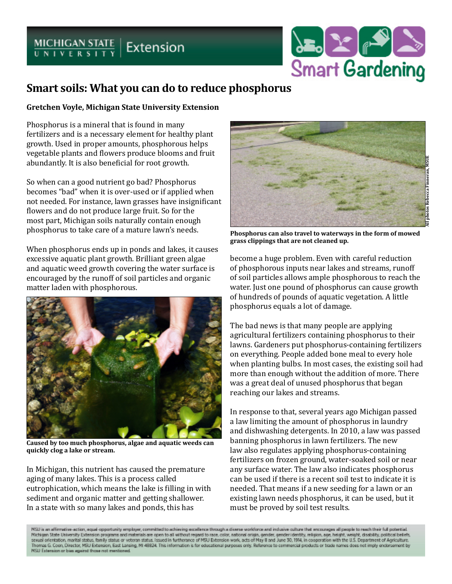## $MICHIGAN STATE U NIVERSUTY$  Extension



## **Smart soils: What you can do to reduce phosphorus**

## **Gretchen Voyle, Michigan State University Extension**

Phosphorus is a mineral that is found in many fertilizers and is a necessary element for healthy plant growth. Used in proper amounts, phosphorous helps vegetable plants and flowers produce blooms and fruit abundantly. It is also beneficial for root growth.

So when can a good nutrient go bad? Phosphorus becomes "bad" when it is over-used or if applied when not needed. For instance, lawn grasses have insignificant flowers and do not produce large fruit. So for the most part, Michigan soils naturally contain enough phosphorus to take care of a mature lawn's needs.

When phosphorus ends up in ponds and lakes, it causes excessive aquatic plant growth. Brilliant green algae and aquatic weed growth covering the water surface is encouraged by the runoff of soil particles and organic matter laden with phosphorous.



**Caused by too much phosphorus, algae and aquatic weeds can quickly clog a lake or stream.**

In Michigan, this nutrient has caused the premature aging of many lakes. This is a process called eutrophication, which means the lake is filling in with sediment and organic matter and getting shallower. In a state with so many lakes and ponds, this has



**Phosphorus can also travel to waterways in the form of mowed grass clippings that are not cleaned up.**

become a huge problem. Even with careful reduction of phosphorous inputs near lakes and streams, runoff of soil particles allows ample phosphorous to reach the water. Just one pound of phosphorus can cause growth of hundreds of pounds of aquatic vegetation. A little phosphorus equals a lot of damage.

The bad news is that many people are applying agricultural fertilizers containing phosphorus to their lawns. Gardeners put phosphorus-containing fertilizers on everything. People added bone meal to every hole when planting bulbs. In most cases, the existing soil had more than enough without the addition of more. There was a great deal of unused phosphorus that began reaching our lakes and streams.

In response to that, several years ago Michigan passed a law limiting the amount of phosphorus in laundry and dishwashing detergents. In 2010, a law was passed banning phosphorus in lawn fertilizers. The new law also regulates applying phosphorus-containing fertilizers on frozen ground, water-soaked soil or near any surface water. The law also indicates phosphorus can be used if there is a recent soil test to indicate it is needed. That means if a new seeding for a lawn or an existing lawn needs phosphorus, it can be used, but it must be proved by soil test results.

(SU is an affirmative-action, equal-opportunity employer, committed to achieving excellence through a diverse workforce and inclusive culture that encourages all people to reach their full potential Nichigan State University Extension programs and materials are open to all without regard to race, color, national origin, gender, gender identity, religion, age, height, weight, disability, political beliefs, sexual orientation, marital status, family status or veteran status. Issued in furtherance of MSU Extension work, acts of May 8 and June 30, 1914, in cooperation with the U.S. Department of Agriculture. Thomas G. Coon, Director, MSU Extension, East Lansing, MI 48824. This information is for educational purposes only. Reference to commercial products or trade names does not imply enclorsement by NSU Externion or bim against those not mentioned.